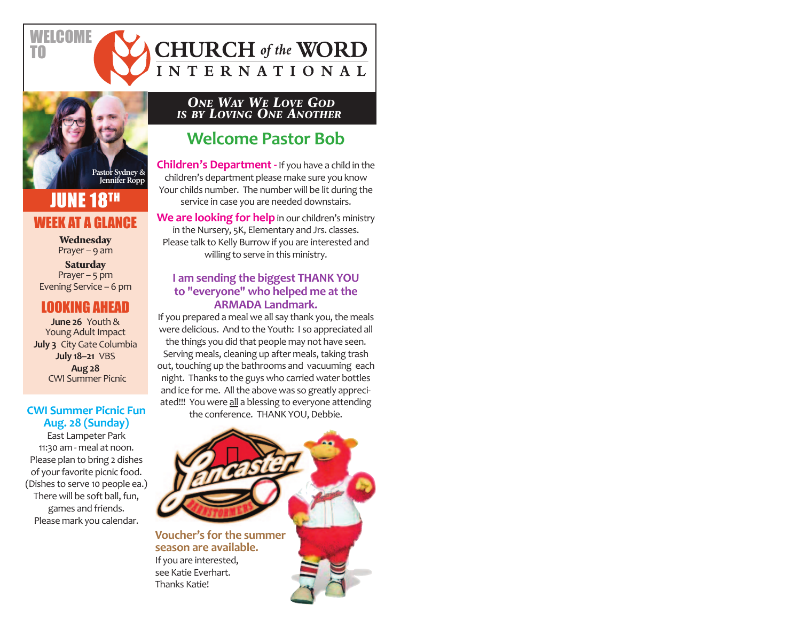

**FICOME** 

TO

## **JUNE 18TH** WEEK AT A GLANCE

**Wednesday** Prayer – 9 am

**Saturday** Prayer  $-5$  pm Evening Service – 6 pm

### LOOKING AHEAD

**June 26** Youth & Young Adult Impact **July 3** City Gate Columbia **July 18–21** VBS **Aug 28** CWI Summer Picnic

#### **CWI Summer Picnic Fun Aug. 28 (Sunday)**

East Lampeter Park 11:30 am ‐ meal at noon. Please plan to bring 2 dishes of your favorite picnic food. (Dishes to serve 10 people ea.) There will be soft ball, fun, games and friends. Please mark you calendar.

*ONE WAY WE LOVE GOD* **IS BY LOVING ONE ANOTHER** 

**CHURCH** of the WORD

INTERNATIONAL

## **Welcome Pastor Bob**

**Children's Department ‐** If you have a child in the children's department please make sure you know Your childs number. The number will be lit during the service in case you are needed downstairs.

We are **looking for help** in our children's ministry in the Nursery, 5K, Elementary and Jrs. classes. Please talk to Kelly Burrow if you are interested and willing to serve in this ministry.

#### **I am sending the biggest THANK YOU to "everyone" who helped me at the ARMADA Landmark.**

If you prepared a meal we all say thank you, the meals were delicious. And to the Youth: I so appreciated all the things you did that people may not have seen. Serving meals, cleaning up after meals, taking trash out, touching up the bathrooms and vacuuming each night. Thanks to the guys who carried water bottles and ice for me. All the above was so greatly appreci‐ ated!!! You were all a blessing to everyone attending the conference. THANK YOU, Debbie.

**Voucher's for the summer season are available.**  If you are interested,

see Katie Everhart. Thanks Katie!